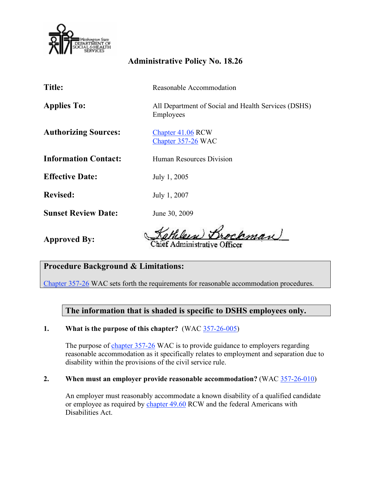

## **Administrative Policy No. 18.26**

Chapter 357-26 WAC

**Title:** Reasonable Accommodation

Applies To: All Department of Social and Health Services (DSHS) Employees

Authorizing Sources: Chapter 41.06 RCW

**Information Contact:** Human Resources Division

**Effective Date:** July 1, 2005

**Revised:** July 1, 2007

**Sunset Review Date:** June 30, 2009

**Approved By:** 

kman

Chief Administrative

# **Procedure Background & Limitations:**

Chapter 357-26 WAC sets forth the requirements for reasonable accommodation procedures.

## **The information that is shaded is specific to DSHS employees only.**

### **1. What is the purpose of this chapter?** (WAC 357-26-005)

The purpose of chapter 357-26 WAC is to provide guidance to employers regarding reasonable accommodation as it specifically relates to employment and separation due to disability within the provisions of the civil service rule.

#### **2. When must an employer provide reasonable accommodation?** (WAC 357-26-010)

 An employer must reasonably accommodate a known disability of a qualified candidate or employee as required by chapter 49.60 RCW and the federal Americans with Disabilities Act.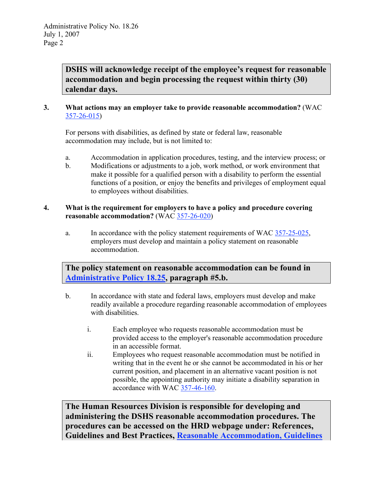**DSHS will acknowledge receipt of the employee's request for reasonable accommodation and begin processing the request within thirty (30) calendar days.** 

#### **3. What actions may an employer take to provide reasonable accommodation?** (WAC 357-26-015)

 For persons with disabilities, as defined by state or federal law, reasonable accommodation may include, but is not limited to:

- a. Accommodation in application procedures, testing, and the interview process; or
- b. Modifications or adjustments to a job, work method, or work environment that make it possible for a qualified person with a disability to perform the essential functions of a position, or enjoy the benefits and privileges of employment equal to employees without disabilities.

#### **4. What is the requirement for employers to have a policy and procedure covering reasonable accommodation?** (WAC 357-26-020)

a. In accordance with the policy statement requirements of WAC  $\frac{357-25-025}{25}$ , employers must develop and maintain a policy statement on reasonable accommodation.

 **The policy statement on reasonable accommodation can be found in Administrative Policy 18.25, paragraph #5.b.** 

- b. In accordance with state and federal laws, employers must develop and make readily available a procedure regarding reasonable accommodation of employees with disabilities.
	- i. Each employee who requests reasonable accommodation must be provided access to the employer's reasonable accommodation procedure in an accessible format.
	- ii. Employees who request reasonable accommodation must be notified in writing that in the event he or she cannot be accommodated in his or her current position, and placement in an alternative vacant position is not possible, the appointing authority may initiate a disability separation in accordance with WAC 357-46-160.

 **The Human Resources Division is responsible for developing and procedures can be accessed on the HRD webpage under: References, Guidelines and Best Practices, Reasonable Accommodation, Guidelines administering the DSHS reasonable accommodation procedures. The**